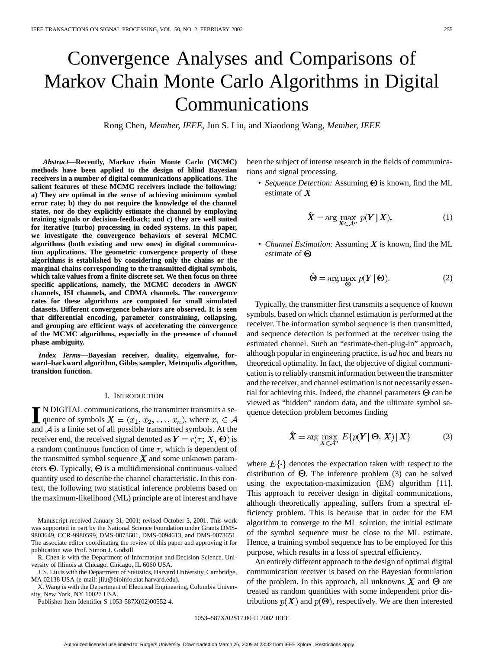# Convergence Analyses and Comparisons of Markov Chain Monte Carlo Algorithms in Digital Communications

Rong Chen*, Member, IEEE*, Jun S. Liu, and Xiaodong Wang*, Member, IEEE*

*Abstract—***Recently, Markov chain Monte Carlo (MCMC) methods have been applied to the design of blind Bayesian receivers in a number of digital communications applications. The salient features of these MCMC receivers include the following: a) They are optimal in the sense of achieving minimum symbol error rate; b) they do not require the knowledge of the channel states, nor do they explicitly estimate the channel by employing training signals or decision-feedback; and c) they are well suited for iterative (turbo) processing in coded systems. In this paper, we investigate the convergence behaviors of several MCMC algorithms (both existing and new ones) in digital communication applications. The geometric convergence property of these algorithms is established by considering only the chains or the marginal chains corresponding to the transmitted digital symbols, which take values from a finite discrete set. We then focus on three specific applications, namely, the MCMC decoders in AWGN channels, ISI channels, and CDMA channels. The convergence rates for these algorithms are computed for small simulated datasets. Different convergence behaviors are observed. It is seen that differential encoding, parameter constraining, collapsing, and grouping are efficient ways of accelerating the convergence of the MCMC algorithms, especially in the presence of channel phase ambiguity.**

*Index Terms—***Bayesian receiver, duality, eigenvalue, forward–backward algorithm, Gibbs sampler, Metropolis algorithm, transition function.**

#### I. INTRODUCTION

**I** N DIGITAL communications, the transmitter transmits a sequence of symbols  $X = (x_1, x_2, ..., x_n)$ , where  $x_i \in A$ and  $A$  is a finite set of all possible transmitted symbols. At the receiver end, the received signal denoted as  $Y = r(\tau; X, \Theta)$  is a random continuous function of time  $\tau$ , which is dependent of the transmitted symbol sequence  $X$  and some unknown parameters  $\Theta$ . Typically,  $\Theta$  is a multidimensional continuous-valued quantity used to describe the channel characteristic. In this context, the following two statistical inference problems based on the maximum-likelihood (ML) principle are of interest and have

Manuscript received January 31, 2001; revised October 3, 2001. This work was supported in part by the National Science Foundation under Grants DMS-9803649, CCR-9980599, DMS-0073601, DMS-0094613, and DMS-0073651. The associate editor coordinating the review of this paper and approving it for publication was Prof. Simon J. Godsill.

R. Chen is with the Department of Information and Decision Science, University of Illinois at Chicago, Chicago, IL 6060 USA.

J. S. Liu is with the Department of Statistics, Harvard University, Cambridge, MA 02138 USA (e-mail: jliu@bioinfo.stat.harvard.edu).

X. Wang is with the Department of Electrical Engineering, Columbia University, New York, NY 10027 USA.

Publisher Item Identifier S 1053-587X(02)00552-4.

been the subject of intense research in the fields of communications and signal processing.

• *Sequence Detection:* Assuming  $\Theta$  is known, find the ML estimate of  $X$ 

$$
\hat{X} = \arg\max_{\mathbf{X} \in \mathcal{A}^n} p(\mathbf{Y} | \mathbf{X}).
$$
\n(1)

• *Channel Estimation:* Assuming  $X$  is known, find the ML estimate of  $\Theta$ 

$$
\hat{\Theta} = \arg\max_{\Theta} p(Y | \Theta). \tag{2}
$$

Typically, the transmitter first transmits a sequence of known symbols, based on which channel estimation is performed at the receiver. The information symbol sequence is then transmitted, and sequence detection is performed at the receiver using the estimated channel. Such an "estimate-then-plug-in" approach, although popular in engineering practice, is *ad hoc* and bears no theoretical optimality. In fact, the objective of digital communication is to reliably transmit information between the transmitter and the receiver, and channel estimation is not necessarily essential for achieving this. Indeed, the channel parameters  $\Theta$  can be viewed as "hidden" random data, and the ultimate symbol sequence detection problem becomes finding

$$
\hat{X} = \arg\max_{X \in \mathcal{A}^n} E\{p(Y | \Theta, X) | X\}
$$
 (3)

where  $E\{\cdot\}$  denotes the expectation taken with respect to the distribution of  $\Theta$ . The inference problem (3) can be solved using the expectation-maximization (EM) algorithm [11]. This approach to receiver design in digital communications, although theoretically appealing, suffers from a spectral efficiency problem. This is because that in order for the EM algorithm to converge to the ML solution, the initial estimate of the symbol sequence must be close to the ML estimate. Hence, a training symbol sequence has to be employed for this purpose, which results in a loss of spectral efficiency.

An entirely different approach to the design of optimal digital communication receiver is based on the Bayesian formulation of the problem. In this approach, all unknowns  $X$  and  $\Theta$  are treated as random quantities with some independent prior distributions  $p(X)$  and  $p(\Theta)$ , respectively. We are then interested

1053–587X/02\$17.00 © 2002 IEEE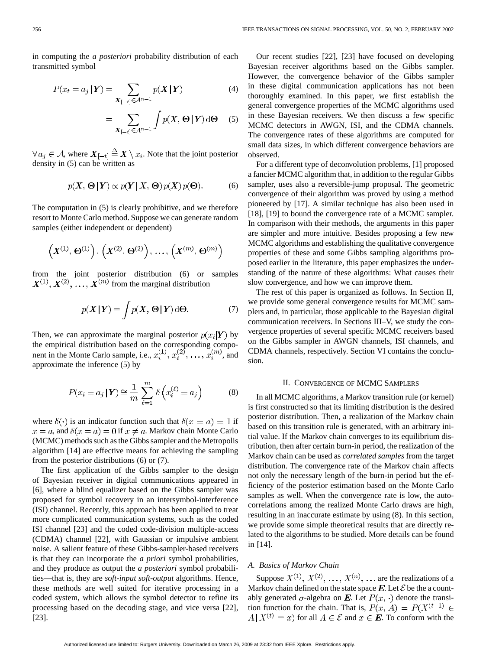in computing the *a posteriori* probability distribution of each transmitted symbol

$$
P(x_t = a_j | \mathbf{Y}) = \sum_{\mathbf{X}_{[-t]} \in \mathcal{A}^{n-1}} p(\mathbf{X} | \mathbf{Y})
$$
(4)

$$
= \sum_{\mathbf{X}_{[-t]} \in \mathcal{A}^{n-1}} \int p(\mathbf{X}, \Theta | \mathbf{Y}) \, d\Theta \quad (5)
$$

 $\forall a_j \in \mathcal{A}$ , where  $X_{[-t]} \stackrel{\Delta}{=} X \setminus x_i$ . Note that the joint posterior density in (5) can be written as

$$
p(X, \Theta | Y) \propto p(Y | X, \Theta) p(X) p(\Theta).
$$
 (6)

The computation in (5) is clearly prohibitive, and we therefore resort to Monte Carlo method. Suppose we can generate random samples (either independent or dependent)

$$
\left(X^{(1)},\boldsymbol{\Theta}^{(1)}\right),\left(X^{(2)},\boldsymbol{\Theta}^{(2)}\right),\ldots,\left(X^{(m)},\boldsymbol{\Theta}^{(m)}\right)
$$

from the joint posterior distribution (6) or samples from the marginal distribution

$$
p(X | Y) = \int p(X, \Theta | Y) d\Theta. \tag{7}
$$

Then, we can approximate the marginal posterior  $p(x_i|Y)$  by the empirical distribution based on the corresponding component in the Monte Carlo sample, i.e.,  $x_i^{(1)}, x_i^{(2)}, \ldots, x_i^{(m)}$ , and approximate the inference (5) by

$$
P(x_i = a_j | \mathbf{Y}) \cong \frac{1}{m} \sum_{\ell=1}^m \delta\left(x_i^{(\ell)} = a_j\right) \tag{8}
$$

where  $\delta(\cdot)$  is an indicator function such that  $\delta(x=a) = 1$  if  $x = a$ , and  $\delta(x = a) = 0$  if  $x \neq a$ . Markov chain Monte Carlo (MCMC) methods such as the Gibbs sampler and the Metropolis algorithm [14] are effective means for achieving the sampling from the posterior distributions (6) or (7).

The first application of the Gibbs sampler to the design of Bayesian receiver in digital communications appeared in [6], where a blind equalizer based on the Gibbs sampler was proposed for symbol recovery in an intersymbol-interference (ISI) channel. Recently, this approach has been applied to treat more complicated communication systems, such as the coded ISI channel [23] and the coded code-division multiple-access (CDMA) channel [22], with Gaussian or impulsive ambient noise. A salient feature of these Gibbs-sampler-based receivers is that they can incorporate the *a priori* symbol probabilities, and they produce as output the *a posteriori* symbol probabilities—that is, they are *soft-input soft-output* algorithms. Hence, these methods are well suited for iterative processing in a coded system, which allows the symbol detector to refine its processing based on the decoding stage, and vice versa [22], [23].

Our recent studies [22], [23] have focused on developing Bayesian receiver algorithms based on the Gibbs sampler. However, the convergence behavior of the Gibbs sampler in these digital communication applications has not been thoroughly examined. In this paper, we first establish the general convergence properties of the MCMC algorithms used in these Bayesian receivers. We then discuss a few specific MCMC detectors in AWGN, ISI, and the CDMA channels. The convergence rates of these algorithms are computed for small data sizes, in which different convergence behaviors are observed.

For a different type of deconvolution problems, [1] proposed a fancier MCMC algorithm that, in addition to the regular Gibbs sampler, uses also a reversible-jump proposal. The geometric convergence of their algorithm was proved by using a method pioneered by [17]. A similar technique has also been used in [18], [19] to bound the convergence rate of a MCMC sampler. In comparison with their methods, the arguments in this paper are simpler and more intuitive. Besides proposing a few new MCMC algorithms and establishing the qualitative convergence properties of these and some Gibbs sampling algorithms proposed earlier in the literature, this paper emphasizes the understanding of the nature of these algorithms: What causes their slow convergence, and how we can improve them.

The rest of this paper is organized as follows. In Section II, we provide some general convergence results for MCMC samplers and, in particular, those applicable to the Bayesian digital communication receivers. In Sections III–V, we study the convergence properties of several specific MCMC receivers based on the Gibbs sampler in AWGN channels, ISI channels, and CDMA channels, respectively. Section VI contains the conclusion.

## II. CONVERGENCE OF MCMC SAMPLERS

In all MCMC algorithms, a Markov transition rule (or kernel) is first constructed so that its limiting distribution is the desired posterior distribution. Then, a realization of the Markov chain based on this transition rule is generated, with an arbitrary initial value. If the Markov chain converges to its equilibrium distribution, then after certain burn-in period, the realization of the Markov chain can be used as *correlated samples* from the target distribution. The convergence rate of the Markov chain affects not only the necessary length of the burn-in period but the efficiency of the posterior estimation based on the Monte Carlo samples as well. When the convergence rate is low, the autocorrelations among the realized Monte Carlo draws are high, resulting in an inaccurate estimate by using (8). In this section, we provide some simple theoretical results that are directly related to the algorithms to be studied. More details can be found in [14].

# *A. Basics of Markov Chain*

Suppose  $X^{(1)}, X^{(2)}, \ldots, X^{(n)}, \ldots$  are the realizations of a Markov chain defined on the state space  $E$ . Let  $\mathcal E$  be the a countably generated  $\sigma$ -algebra on **E**. Let  $P(x, \cdot)$  denote the transition function for the chain. That is,  $P(x, A) = P(X^{(t+1)} \in$  $A|X^{(t)} = x$  for all  $A \in \mathcal{E}$  and  $x \in E$ . To conform with the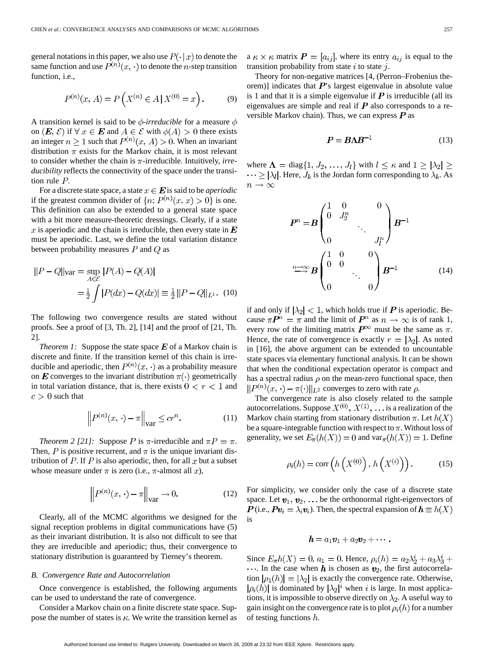general notations in this paper, we also use  $P(\cdot | x)$  to denote the same function and use  $P^{(n)}(x, \cdot)$  to denote the *n*-step transition function, i.e.,

$$
P^{(n)}(x, A) = P\left(X^{(n)} \in A \,|\, X^{(0)} = x\right). \tag{9}
$$

A transition kernel is said to be  $\phi$ -*irreducible* for a measure  $\phi$ on  $(E, \mathcal{E})$  if  $\forall x \in E$  and  $A \in \mathcal{E}$  with  $\phi(A) > 0$  there exists an integer  $n \geq 1$  such that  $P^{(n)}(x, A) > 0$ . When an invariant distribution  $\pi$  exists for the Markov chain, it is most relevant to consider whether the chain is  $\pi$ -irreducible. Intuitively, *irreducibility* reflects the connectivity of the space under the transition rule  $P$ .

For a discrete state space, a state  $x \in E$  is said to be *aperiodic* if the greatest common divider of  $\{n: P^{(n)}(x, x) > 0\}$  is one. This definition can also be extended to a general state space with a bit more measure-theoretic dressings. Clearly, if a state x is aperiodic and the chain is irreducible, then every state in  $E$ must be aperiodic. Last, we define the total variation distance between probability measures  $P$  and  $Q$  as

$$
||P - Q||_{var} = \sup_{A \in \mathcal{E}} |P(A) - Q(A)|
$$
  
=  $\frac{1}{2} \int |P(dx) - Q(dx)| \equiv \frac{1}{2} ||P - Q||_{L^{1}}$ . (10)

The following two convergence results are stated without proofs. See a proof of [3, Th. 2], [14] and the proof of [21, Th. 2].

*Theorem 1:* Suppose the state space  $\boldsymbol{E}$  of a Markov chain is discrete and finite. If the transition kernel of this chain is irreducible and aperiodic, then  $P^{(n)}(x, \cdot)$  as a probability measure on **E** converges to the invariant distribution  $\pi(\cdot)$  geometrically in total variation distance, that is, there exists  $0 < r < 1$  and  $c > 0$  such that

$$
\left\| P^{(n)}(x, \cdot) - \pi \right\|_{\text{var}} \leq c r^n. \tag{11}
$$

*Theorem 2 [21]:* Suppose P is  $\pi$ -irreducible and  $\pi P = \pi$ . Then, P is positive recurrent, and  $\pi$  is the unique invariant distribution of P. If P is also aperiodic, then, for all x but a subset whose measure under  $\pi$  is zero (i.e.,  $\pi$ -almost all  $x$ ),

$$
\left\| P^{(n)}(x, \cdot) - \pi \right\|_{\text{var}} \to 0. \tag{12}
$$

Clearly, all of the MCMC algorithms we designed for the signal reception problems in digital communications have (5) as their invariant distribution. It is also not difficult to see that they are irreducible and aperiodic; thus, their convergence to stationary distribution is guaranteed by Tierney's theorem.

#### *B. Convergence Rate and Autocorrelation*

Once convergence is established, the following arguments can be used to understand the rate of convergence.

Consider a Markov chain on a finite discrete state space. Suppose the number of states is  $\kappa$ . We write the transition kernel as a  $\kappa \times \kappa$  matrix  $P = [a_{ij}]$ , where its entry  $a_{ij}$  is equal to the transition probability from state  $i$  to state  $j$ .

Theory for non-negative matrices [4, (Perron–Frobenius theorem)] indicates that  $P$ 's largest eigenvalue in absolute value is 1 and that it is a simple eigenvalue if  $\boldsymbol{P}$  is irreducible (all its eigenvalues are simple and real if  $P$  also corresponds to a reversible Markov chain). Thus, we can express  $P$  as

$$
P = B\Lambda B^{-1} \tag{13}
$$

where  $\Lambda = \text{diag}\{1, J_2, \ldots, J_l\}$  with  $l \leq \kappa$  and  $1 \geq |\lambda_2| \geq$  $\cdots \ge |\lambda_l|$ . Here,  $J_k$  is the Jordan form corresponding to  $\lambda_k$ . As  $n \to \infty$ 

$$
P^{n} = B \begin{pmatrix} 1 & 0 & 0 \\ 0 & J_{2}^{n} & \\ & & \ddots & \\ 0 & & & J_{l}^{n} \end{pmatrix} B^{-1}
$$

$$
n \rightarrow B \begin{pmatrix} 1 & 0 & 0 \\ 0 & 0 & \\ & & \ddots & \\ 0 & & & 0 \end{pmatrix} B^{-1}
$$
(14)

if and only if  $|\lambda_2| < 1$ , which holds true if P is aperiodic. Because  $\pi P^n = \pi$  and the limit of  $P^n$  as  $n \to \infty$  is of rank 1, every row of the limiting matrix  $P^{\infty}$  must be the same as  $\pi$ . Hence, the rate of convergence is exactly  $r = |\lambda_2|$ . As noted in [16], the above argument can be extended to uncountable state spaces via elementary functional analysis. It can be shown that when the conditional expectation operator is compact and has a spectral radius  $\rho$  on the mean-zero functional space, then  $||P^{(n)}(x, \cdot) - \pi(\cdot)||_{L^2}$  converges to zero with rate  $\rho$ .

The convergence rate is also closely related to the sample autocorrelations. Suppose  $X^{(0)}, X^{(1)}, \ldots$  is a realization of the Markov chain starting from stationary distribution  $\pi$ . Let  $h(X)$ be a square-integrable function with respect to  $\pi$ . Without loss of generality, we set  $E_{\pi}(h(X)) = 0$  and  $var_{\pi}(h(X)) = 1$ . Define

$$
\rho_i(h) = \text{corr}\left(h\left(X^{(0)}\right), h\left(X^{(i)}\right)\right). \tag{15}
$$

For simplicity, we consider only the case of a discrete state space. Let  $v_1, v_2, \ldots$  be the orthonormal right-eigenvectors of  $P$  (i.e.,  $Pv_i = \lambda_i v_i$ ). Then, the spectral expansion of  $h \equiv h(X)$ is

$$
\textbf{\textit{h}}=a_1\textbf{\textit{v}}_1+a_2\textbf{\textit{v}}_2+\cdots.
$$

Since  $E_{\pi}h(X) = 0$ ,  $a_1 = 0$ . Hence,  $\rho_i(h) = a_2\lambda_2^i + a_3\lambda_3^i +$  $\cdots$ . In the case when **h** is chosen as  $v_2$ , the first autocorrelation  $|\rho_1(h)| = |\lambda_2|$  is exactly the convergence rate. Otherwise,  $|\rho_i(h)|$  is dominated by  $|\lambda_2|^i$  when i is large. In most applications, it is impossible to observe directly on  $\lambda_2$ . A useful way to gain insight on the convergence rate is to plot  $\rho_i(h)$  for a number of testing functions  $h$ .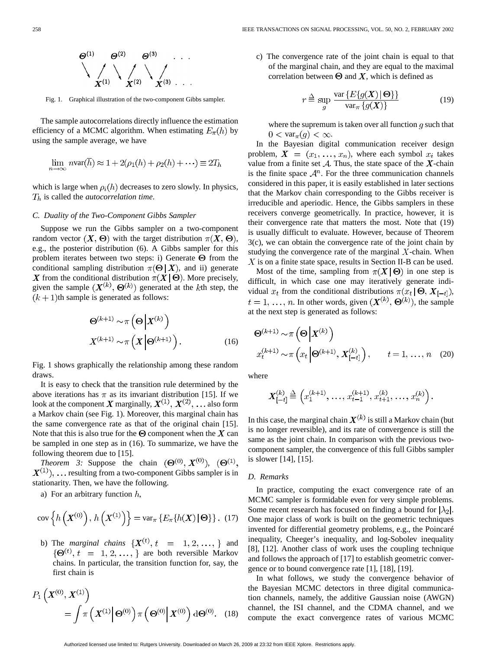

Fig. 1. Graphical illustration of the two-component Gibbs sampler.

The sample autocorrelations directly influence the estimation efficiency of a MCMC algorithm. When estimating  $E_{\pi}(h)$  by using the sample average, we have

$$
\lim_{n \to \infty} n \text{var}(\overline{h}) \approx 1 + 2(\rho_1(h) + \rho_2(h) + \cdots) \equiv 2T_h
$$

which is large when  $\rho_i(h)$  decreases to zero slowly. In physics,  $T_h$  is called the *autocorrelation time*.

#### *C. Duality of the Two-Component Gibbs Sampler*

Suppose we run the Gibbs sampler on a two-component random vector  $(X, \Theta)$  with the target distribution  $\pi(X, \Theta)$ , e.g., the posterior distribution (6). A Gibbs sampler for this problem iterates between two steps: i) Generate  $\Theta$  from the conditional sampling distribution  $\pi(\Theta|X)$ , and ii) generate X from the conditional distribution  $\pi(X | \Theta)$ . More precisely, given the sample  $(X^{(k)}, \Theta^{(k)})$  generated at the kth step, the  $(k+1)$ th sample is generated as follows:

$$
\Theta^{(k+1)} \sim \pi \left( \Theta \left| X^{(k)} \right. \right)
$$

$$
X^{(k+1)} \sim \pi \left( X \left| \Theta^{(k+1)} \right. \right). \tag{16}
$$

Fig. 1 shows graphically the relationship among these random draws.

It is easy to check that the transition rule determined by the above iterations has  $\pi$  as its invariant distribution [15]. If we look at the component X marginally,  $X^{(1)}$ ,  $X^{(2)}$ , ... also form a Markov chain (see Fig. 1). Moreover, this marginal chain has the same convergence rate as that of the original chain [15]. Note that this is also true for the  $\Theta$  component when the  $X$  can be sampled in one step as in (16). To summarize, we have the following theorem due to [15].

*Theorem 3:* Suppose the chain  $(\Theta^{(0)}, \mathbf{X}^{(0)})$ ,  $(\Theta^{(1)},$  $\mathbf{X}^{(1)}$ , ... resulting from a two-component Gibbs sampler is in stationarity. Then, we have the following.

a) For an arbitrary function  $h$ ,

$$
\text{cov}\left\{h\left(X^{(0)}\right),\,h\left(X^{(1)}\right)\right\}=\text{var}_{\pi}\left\{E_{\pi}\left\{h(X)\,|\,\Theta\right\}\right\}.\,\,(17)
$$

b) The *marginal chains*  $\{X^{(t)}, t = 1, 2, ..., \}$  and  $\{\Theta^{(t)}, t = 1, 2, \dots\}$  are both reversible Markov chains. In particular, the transition function for, say, the first chain is

$$
P_1\left(X^{(0)}, X^{(1)}\right) = \int \pi\left(X^{(1)}\right|\Theta^{(0)}\right)\pi\left(\Theta^{(0)}\right|X^{(0)}\right)\mathrm{d}\Theta^{(0)}.\quad(18)
$$

c) The convergence rate of the joint chain is equal to that of the marginal chain, and they are equal to the maximal correlation between  $\Theta$  and  $X$ , which is defined as

$$
r \stackrel{\Delta}{=} \sup_{g} \frac{\text{var}\{E\{g(\boldsymbol{X}) \mid \boldsymbol{\Theta}\}\}}{\text{var}_{\pi}\{g(\boldsymbol{X})\}}
$$
(19)

where the supremum is taken over all function  $q$  such that  $0 < \text{var}_{\pi}(g) < \infty$ .

In the Bayesian digital communication receiver design problem,  $\mathbf{X} = (x_1, \ldots, x_n)$ , where each symbol  $x_i$  takes value from a finite set  $A$ . Thus, the state space of the  $X$ -chain is the finite space  $\mathcal{A}^n$ . For the three communication channels considered in this paper, it is easily established in later sections that the Markov chain corresponding to the Gibbs receiver is irreducible and aperiodic. Hence, the Gibbs samplers in these receivers converge geometrically. In practice, however, it is their convergence rate that matters the most. Note that (19) is usually difficult to evaluate. However, because of Theorem 3(c), we can obtain the convergence rate of the joint chain by studying the convergence rate of the marginal  $X$ -chain. When  $X$  is on a finite state space, results in Section II-B can be used.

Most of the time, sampling from  $\pi(X|\Theta)$  in one step is difficult, in which case one may iteratively generate individual  $x_t$  from the conditional distributions  $\pi(x_t | \Theta, X_{[-t]}),$  $t = 1, \ldots, n$ . In other words, given  $(X^{(k)}, \Theta^{(k)})$ , the sample at the next step is generated as follows:

$$
\Theta^{(k+1)} \sim \pi \left( \Theta \left| \boldsymbol{X}^{(k)} \right. \right)
$$

$$
x_t^{(k+1)} \sim \pi \left( x_t \left| \Theta^{(k+1)}, \boldsymbol{X}_{[-t]}^{(k)} \right. \right), \qquad t = 1, \dots, n \quad (20)
$$

where

$$
\mathbf{X}_{[-t]}^{(k)} \stackrel{\Delta}{=} \left(x_1^{(k+1)}, \ldots, x_{t-1}^{(k+1)}, x_{t+1}^{(k)}, \ldots, x_n^{(k)}\right).
$$

In this case, the marginal chain  $\mathbf{X}^{(k)}$  is still a Markov chain (but is no longer reversible), and its rate of convergence is still the same as the joint chain. In comparison with the previous twocomponent sampler, the convergence of this full Gibbs sampler is slower [14], [15].

## *D. Remarks*

In practice, computing the exact convergence rate of an MCMC sampler is formidable even for very simple problems. Some recent research has focused on finding a bound for  $|\lambda_2|$ . One major class of work is built on the geometric techniques invented for differential geometry problems, e.g., the Poincaré inequality, Cheeger's inequality, and log-Sobolev inequality [8], [12]. Another class of work uses the coupling technique and follows the approach of [17] to establish geometric convergence or to bound convergence rate [1], [18], [19].

In what follows, we study the convergence behavior of the Bayesian MCMC detectors in three digital communication channels, namely, the additive Gaussian noise (AWGN) channel, the ISI channel, and the CDMA channel, and we compute the exact convergence rates of various MCMC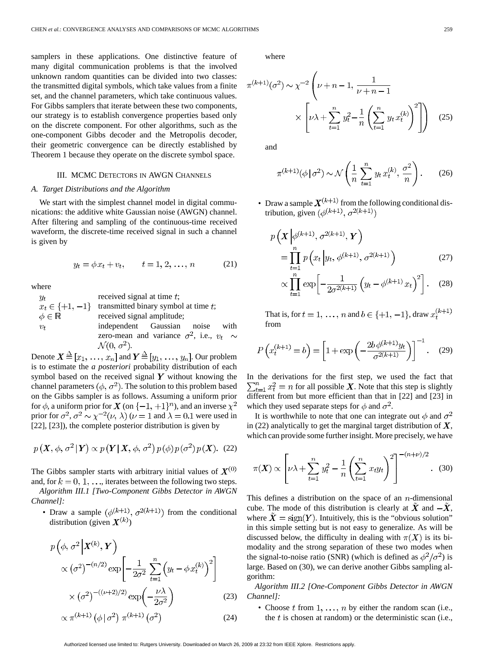samplers in these applications. One distinctive feature of many digital communication problems is that the involved unknown random quantities can be divided into two classes: the transmitted digital symbols, which take values from a finite set, and the channel parameters, which take continuous values. For Gibbs samplers that iterate between these two components, our strategy is to establish convergence properties based only on the discrete component. For other algorithms, such as the one-component Gibbs decoder and the Metropolis decoder, their geometric convergence can be directly established by Theorem 1 because they operate on the discrete symbol space.

# III. MCMC DETECTORS IN AWGN CHANNELS

## *A. Target Distributions and the Algorithm*

We start with the simplest channel model in digital communications: the additive white Gaussian noise (AWGN) channel. After filtering and sampling of the continuous-time received waveform, the discrete-time received signal in such a channel is given by

$$
y_t = \phi x_t + v_t, \qquad t = 1, 2, ..., n \tag{21}
$$

where

*y<sub>t</sub>* received signal at time *t*;  
\n
$$
x_t \in \{+1, -1\}
$$
 transmitted binary symbol at time *t*;  
\n $\phi \in \mathbb{R}$  received signal amplitude;  
\n*v<sub>t</sub>* independent Gaussian noise with  
\nzero-mean and variance  $\sigma^2$ , i.e.,  $v_t \sim$   
\n $\mathcal{N}(0, \sigma^2)$ .

Denote  $\mathbf{X} \stackrel{\triangle}{=} [x_1, \ldots, x_n]$  and  $\mathbf{Y} \stackrel{\triangle}{=} [y_1, \ldots, y_n]$ . Our problem is to estimate the *a posteriori* probability distribution of each symbol based on the received signal  $Y$  without knowing the channel parameters  $(\phi, \sigma^2)$ . The solution to this problem based on the Gibbs sampler is as follows. Assuming a uniform prior for  $\phi$ , a uniform prior for X (on  $\{-1, +1\}^n$ ), and an inverse  $\chi^2$ prior for  $\sigma^2$ ,  $\sigma^2 \sim \chi^{-2}(\nu, \lambda)$  ( $\nu = 1$  and  $\lambda = 0.1$  were used in [22], [23]), the complete posterior distribution is given by

$$
p(X, \phi, \sigma^2 | \mathbf{Y}) \propto p(Y | X, \phi, \sigma^2) p(\phi) p(\sigma^2) p(X). (22)
$$

The Gibbs sampler starts with arbitrary initial values of  $X^{(0)}$ and, for  $k = 0, 1, \ldots$ , iterates between the following two steps. *Algorithm III.1 [Two-Component Gibbs Detector in AWGN Channel]:*

• Draw a sample  $(\phi^{(k+1)}, \sigma^{2(k+1)})$  from the conditional distribution (given  $X^{(k)}$ )

$$
p\left(\phi, \sigma^2 \middle| \mathbf{X}^{(k)}, \mathbf{Y}\right)
$$
  
 
$$
\propto (\sigma^2)^{-(n/2)} \exp\left[-\frac{1}{2\sigma^2} \sum_{t=1}^n \left(y_t - \phi x_t^{(k)}\right)^2\right]
$$
  
 
$$
\times (\sigma^2)^{-(\nu+2)/2)} \exp\left(-\frac{\nu\lambda}{2\sigma^2}\right)
$$
  
 
$$
\propto \pi^{(k+1)} (\phi \middle| \sigma^2) \pi^{(k+1)} (\sigma^2)
$$
 (24)

where

$$
\tau^{(k+1)}(\sigma^2) \sim \chi^{-2} \left(\nu + n - 1, \frac{1}{\nu + n - 1} \times \left[ \nu \lambda + \sum_{t=1}^n y_t^2 - \frac{1}{n} \left( \sum_{t=1}^n y_t x_t^{(k)} \right)^2 \right] \right) \quad (25)
$$

and

$$
\pi^{(k+1)}(\phi \mid \sigma^2) \sim \mathcal{N}\left(\frac{1}{n}\sum_{t=1}^n y_t x_t^{(k)}, \frac{\sigma^2}{n}\right). \tag{26}
$$

• Draw a sample  $X^{(k+1)}$  from the following conditional distribution, given  $(\phi^{(k+1)}, \sigma^{2(k+1)})$ 

$$
p\left(X\left|\phi^{(k+1)},\sigma^{2(k+1)},Y\right.\right) = \prod_{t=1}^{n} p\left(x_t\left|y_t,\phi^{(k+1)},\sigma^{2(k+1)}\right.\right) \tag{27}
$$

$$
\propto \prod_{t=1}^{n} \exp \left[ -\frac{1}{2\sigma^{2(k+1)}} \left( y_t - \phi^{(k+1)} x_t \right)^2 \right].
$$
 (28)

That is, for  $t=1,\,\ldots,\,n$  and  $b\in\{+1,\,-1\},$  draw  $x^{(k+1)}_t$ from

$$
P\left(x_t^{(k+1)} = b\right) = \left[1 + \exp\left(-\frac{2b\phi^{(k+1)}y_t}{\sigma^{2(k+1)}}\right)\right]^{-1}.
$$
 (29)

In the derivations for the first step, we used the fact that  $\sum_{t=1}^{n} x_t^2 = n$  for all possible X. Note that this step is slightly different from but more efficient than that in [22] and [23] in which they used separate steps for  $\phi$  and  $\sigma^2$ .

It is worthwhile to note that one can integrate out  $\phi$  and  $\sigma^2$ in (22) analytically to get the marginal target distribution of  $\boldsymbol{X}$ , which can provide some further insight. More precisely, we have

$$
\pi(X) \propto \left[ \nu \lambda + \sum_{t=1}^{n} y_t^2 - \frac{1}{n} \left( \sum_{t=1}^{n} x_t y_t \right)^2 \right]^{-(n+\nu)/2}.
$$
 (30)

This defines a distribution on the space of an  $n$ -dimensional cube. The mode of this distribution is clearly at  $\ddot{X}$  and  $-\ddot{X}$ , where  $X = sign(Y)$ . Intuitively, this is the "obvious solution" in this simple setting but is not easy to generalize. As will be discussed below, the difficulty in dealing with  $\pi(X)$  is its bimodality and the strong separation of these two modes when the signal-to-noise ratio (SNR) (which is defined as  $\phi^2 / \sigma^2$ ) is large. Based on (30), we can derive another Gibbs sampling algorithm:

*Algorithm III.2 [One-Component Gibbs Detector in AWGN Channel]:*

• Choose  $t$  from  $1, \ldots, n$  by either the random scan (i.e., the  $t$  is chosen at random) or the deterministic scan (i.e.,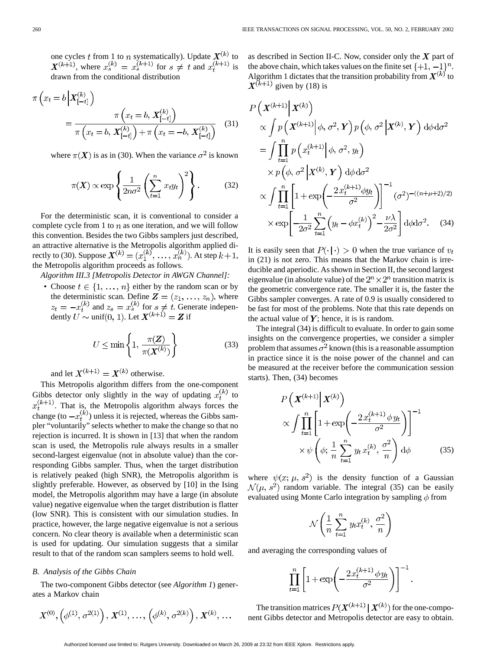one cycles t from 1 to n systematically). Update  $X^{(k)}$  to , where  $x_s^{(k)} = x_s^{(k+1)}$  for  $s \neq t$  and  $x_t^{(k+1)}$  is drawn from the conditional distribution

$$
\pi\left(x_{t}=b\left|\mathbf{X}_{[-t]}^{(k)}\right.\right) = \frac{\pi\left(x_{t}=b,\mathbf{X}_{[-t]}^{(k)}\right)}{\pi\left(x_{t}=b,\mathbf{X}_{[-t]}^{(k)}\right)+\pi\left(x_{t}=-b,\mathbf{X}_{[-t]}^{(k)}\right)}\tag{31}
$$

where  $\pi(X)$  is as in (30). When the variance  $\sigma^2$  is known

$$
\pi(\boldsymbol{X}) \propto \exp\left\{\frac{1}{2n\sigma^2} \left(\sum_{t=1}^n x_t y_t\right)^2\right\}.
$$
 (32)

For the deterministic scan, it is conventional to consider a complete cycle from 1 to  $n$  as one iteration, and we will follow this convention. Besides the two Gibbs samplers just described, an attractive alternative is the Metropolis algorithm applied directly to (30). Suppose  $X^{(k)} = (x_1^{(k)}, \ldots, x_n^{(k)})$ . At step  $k+1$ , the Metropolis algorithm proceeds as follows.

*Algorithm III.3 [Metropolis Detector in AWGN Channel]:*

• Choose  $t \in \{1, \ldots, n\}$  either by the random scan or by the deterministic scan. Define  $\mathbf{Z} = (z_1, \ldots, z_n)$ , where and  $z_s = x_s^{(k)}$  for  $s \neq t$ . Generate independently  $U \sim \text{unif}(0, 1)$ . Let  $\mathbf{X}^{(k+1)} = \mathbf{Z}$  if

$$
U \le \min\left\{1, \frac{\pi(\mathbf{Z})}{\pi(\mathbf{X}^{(k)})}\right\} \tag{33}
$$

and let  $X^{(k+1)} = X^{(k)}$  otherwise.

This Metropolis algorithm differs from the one-component Gibbs detector only slightly in the way of updating  $x_t^{(k)}$  to . That is, the Metropolis algorithm always forces the change (to  $-x_t^{(k)}$ ) unless it is rejected, whereas the Gibbs sampler "voluntarily" selects whether to make the change so that no rejection is incurred. It is shown in [13] that when the random scan is used, the Metropolis rule always results in a smaller second-largest eigenvalue (not in absolute value) than the corresponding Gibbs sampler. Thus, when the target distribution is relatively peaked (high SNR), the Metropolis algorithm is slightly preferable. However, as observed by [10] in the Ising model, the Metropolis algorithm may have a large (in absolute value) negative eigenvalue when the target distribution is flatter (low SNR). This is consistent with our simulation studies. In practice, however, the large negative eigenvalue is not a serious concern. No clear theory is available when a deterministic scan is used for updating. Our simulation suggests that a similar result to that of the random scan samplers seems to hold well.

# *B. Analysis of the Gibbs Chain*

The two-component Gibbs detector (see *Algorithm 1*) generates a Markov chain

$$
\boldsymbol{X}^{(0)}, \left(\phi^{(1)},\,\sigma^{2(1)}\right),\,\boldsymbol{X}^{(1)},\,\ldots,\left(\phi^{(k)},\,\sigma^{2(k)}\right),\,\boldsymbol{X}^{(k)},\,\ldots
$$

as described in Section II-C. Now, consider only the  $X$  part of the above chain, which takes values on the finite set  $\{+1, -1\}^n$ . Algorithm 1 dictates that the transition probability from  $X^{(k)}$  to  $X^{(k+1)}$  given by (18) is

$$
P\left(X^{(k+1)}\middle| X^{(k)}\right) \propto \int p\left(X^{(k+1)}\middle|\phi,\sigma^2,Y\right) p\left(\phi,\sigma^2\middle| X^{(k)},Y\right) d\phi d\sigma^2
$$
  
\n
$$
= \int \prod_{t=1}^n p\left(x_t^{(k+1)}\middle|\phi,\sigma^2,y_t\right) \times p\left(\phi,\sigma^2\middle| X^{(k)},Y\right) d\phi d\sigma^2
$$
  
\n
$$
\propto \int \prod_{t=1}^n \left[1+\exp\left(-\frac{2x_t^{(k+1)}\phi y_t}{\sigma^2}\right)\right]^{-1} (\sigma^2)^{-(n+\mu+2)/2)}
$$
  
\n
$$
\times \exp\left[-\frac{1}{2\sigma^2}\sum_{t=1}^n \left(y_t-\phi x_t^{(k)}\right)^2-\frac{\nu\lambda}{2\sigma^2}\right] d\phi d\sigma^2. \quad (34)
$$

It is easily seen that  $P(\cdot | \cdot) > 0$  when the true variance of  $v_t$ in (21) is not zero. This means that the Markov chain is irreducible and aperiodic. As shown in Section II, the second largest eigenvalue (in absolute value) of the  $2^n \times 2^n$  transition matrix is the geometric convergence rate. The smaller it is, the faster the Gibbs sampler converges. A rate of 0.9 is usually considered to be fast for most of the problems. Note that this rate depends on the actual value of  $Y$ ; hence, it is is random.

The integral (34) is difficult to evaluate. In order to gain some insights on the convergence properties, we consider a simpler problem that assumes  $\sigma^2$  known (this is a reasonable assumption in practice since it is the noise power of the channel and can be measured at the receiver before the communication session starts). Then, (34) becomes

$$
P\left(X^{(k+1)}\middle|X^{(k)}\right) \propto \int \prod_{t=1}^{n} \left[1 + \exp\left(-\frac{2x_t^{(k+1)}\phi y_t}{\sigma^2}\right)\right]^{-1} \times \psi\left(\phi; \frac{1}{n}\sum_{t=1}^{n} y_t x_t^{(k)}, \frac{\sigma^2}{n}\right) d\phi \qquad (35)
$$

where  $\psi(x; \mu, s^2)$  is the density function of a Gaussian  $\mathcal{N}(\mu, s^2)$  random variable. The integral (35) can be easily evaluated using Monte Carlo integration by sampling  $\phi$  from

$$
\sqrt{\left(\frac{1}{n}\sum_{t=1}^n y_t x_t^{(k)}, \frac{\sigma^2}{n}\right)}
$$

and averaging the corresponding values of

J

$$
\prod_{t=1}^{n} \left[ 1 + \exp\left( -\frac{2x_t^{(k+1)} \phi y_t}{\sigma^2} \right) \right]^{-1}
$$

The transition matrices  $P(X^{(k+1)} | X^{(k)})$  for the one-component Gibbs detector and Metropolis detector are easy to obtain.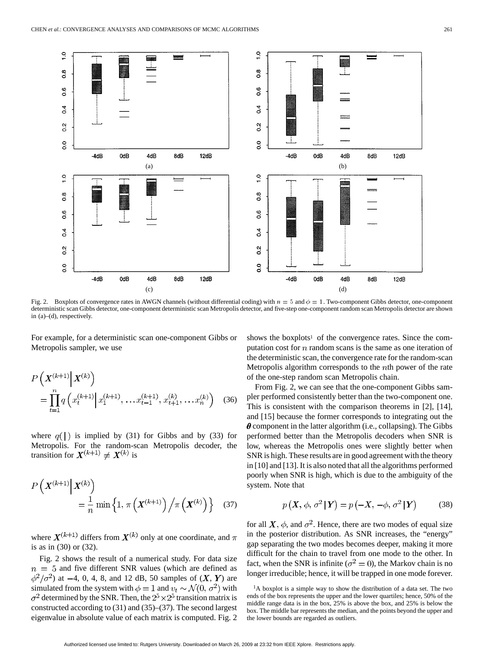

Fig. 2. Boxplots of convergence rates in AWGN channels (without differential coding) with  $n = 5$  and  $\phi = 1$ . Two-component Gibbs detector, one-component deterministic scan Gibbs detector, one-component deterministic scan Metropolis detector, and five-step one-component random scan Metropolis detector are shown in (a)–(d), respectively.

For example, for a deterministic scan one-component Gibbs or Metropolis sampler, we use

$$
P\left(X^{(k+1)}\middle| X^{(k)}\right)
$$
  
= 
$$
\prod_{t=1}^{n} q\left(x_t^{(k+1)}\middle| x_1^{(k+1)}, \dots, x_{t-1}^{(k+1)}, x_{t+1}^{(k)}, \dots, x_n^{(k)}\right)
$$
 (36)

where  $q( )$  is implied by (31) for Gibbs and by (33) for Metropolis. For the random-scan Metropolis decoder, the transition for  $X^{(k+1)} \neq X^{(k)}$  is

$$
P\left(X^{(k+1)}\middle| \mathbf{X}^{(k)}\right) = \frac{1}{n} \min\left\{1, \pi\left(X^{(k+1)}\right) / \pi\left(X^{(k)}\right)\right\} \quad (37)
$$

where  $\mathbf{X}^{(k+1)}$  differs from  $\mathbf{X}^{(k)}$  only at one coordinate, and  $\pi$ is as in (30) or (32).

Fig. 2 shows the result of a numerical study. For data size  $n = 5$  and five different SNR values (which are defined as  $\phi^2/\sigma^2$ ) at -4, 0, 4, 8, and 12 dB, 50 samples of  $(X, Y)$  are simulated from the system with  $\phi = 1$  and  $v_t \sim \mathcal{N}(0, \sigma^2)$  with  $\sigma^2$  determined by the SNR. Then, the  $2^5 \times 2^5$  transition matrix is constructed according to (31) and (35)–(37). The second largest eigenvalue in absolute value of each matrix is computed. Fig. 2 shows the boxplots<sup>1</sup> of the convergence rates. Since the computation cost for  $n$  random scans is the same as one iteration of the deterministic scan, the convergence rate for the random-scan Metropolis algorithm corresponds to the  $n$ th power of the rate of the one-step random scan Metropolis chain.

From Fig. 2, we can see that the one-component Gibbs sampler performed consistently better than the two-component one. This is consistent with the comparison theorems in [2], [14], and [15] because the former corresponds to integrating out the  $\theta$  component in the latter algorithm (i.e., collapsing). The Gibbs performed better than the Metropolis decoders when SNR is low, whereas the Metropolis ones were slightly better when SNR is high. These results are in good agreement with the theory in [10] and [13]. It is also noted that all the algorithms performed poorly when SNR is high, which is due to the ambiguity of the system. Note that

$$
p(X, \phi, \sigma^2 | Y) = p(-X, -\phi, \sigma^2 | Y)
$$
 (38)

for all  $\mathbf{X}$ ,  $\phi$ , and  $\sigma^2$ . Hence, there are two modes of equal size in the posterior distribution. As SNR increases, the "energy" gap separating the two modes becomes deeper, making it more difficult for the chain to travel from one mode to the other. In fact, when the SNR is infinite ( $\sigma^2 = 0$ ), the Markov chain is no longer irreducible; hence, it will be trapped in one mode forever.

 $<sup>1</sup>A$  boxplot is a simple way to show the distribution of a data set. The two</sup> ends of the box represents the upper and the lower quartiles; hence, 50% of the middle range data is in the box, 25% is above the box, and 25% is below the box. The middle bar represents the median, and the points beyond the upper and the lower bounds are regarded as outliers.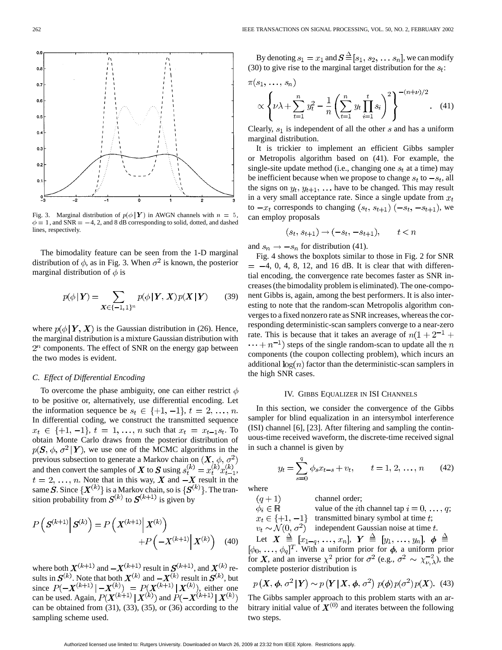Fig. 3. Marginal distribution of  $p(\phi | Y)$  in AWGN channels with  $n = 5$ ,  $\phi = 1$ , and SNR = -4, 2, and 8 dB corresponding to solid, dotted, and dashed lines, respectively.

The bimodality feature can be seen from the 1-D marginal distribution of  $\phi$ , as in Fig. 3. When  $\sigma^2$  is known, the posterior marginal distribution of  $\phi$  is

$$
p(\phi | \mathbf{Y}) = \sum_{\mathbf{X} \in \{-1, 1\}^n} p(\phi | \mathbf{Y}, \mathbf{X}) p(\mathbf{X} | \mathbf{Y}) \qquad (39)
$$

where  $p(\phi | Y, X)$  is the Gaussian distribution in (26). Hence, the marginal distribution is a mixture Gaussian distribution with  $2<sup>n</sup>$  components. The effect of SNR on the energy gap between the two modes is evident.

# *C. Effect of Differential Encoding*

To overcome the phase ambiguity, one can either restrict  $\phi$ to be positive or, alternatively, use differential encoding. Let the information sequence be  $s_t \in \{+1, -1\}, t = 2, \ldots, n$ . In differential coding, we construct the transmitted sequence  $x_t \in \{+1, -1\}, t = 1, \ldots, n$  such that  $x_t = x_{t-1}s_t$ . To obtain Monte Carlo draws from the posterior distribution of  $p(\mathbf{S}, \phi, \sigma^2 | \mathbf{Y})$ , we use one of the MCMC algorithms in the previous subsection to generate a Markov chain on  $(X, \phi, \sigma^2)$ and then convert the samples of X to S using  $s_t^{(k)} = x_t^{(k)} x_{t-1}^{(k)}$ ,  $t = 2, \ldots, n$ . Note that in this way, X and  $\overrightarrow{X}$  result in the same S. Since  $\{X^{(k)}\}$  is a Markov chain, so is  $\{S^{(k)}\}$ . The transition probability from  $S^{(k)}$  to  $S^{(k+1)}$  is given by

$$
P(S^{(k+1)} | S^{(k)}) = P(X^{(k+1)} | X^{(k)}) + P(-X^{(k+1)} | X^{(k)}) \quad (40)
$$

where both  $X^{(k+1)}$  and  $-X^{(k+1)}$  result in  $S^{(k+1)}$ , and  $X^{(k)}$  results in  $S^{(k)}$ . Note that both  $X^{(k)}$  and  $-X^{(k)}$  result in  $S^{(k)}$ , but since  $P(-X^{(k+1)} | -X^{(k)}) = P(X^{(k+1)} | X^{(k)})$ , either one can be used. Again,  $P(X^{(k+1)} | X^{(k)})$  and can be obtained from (31), (33), (35), or (36) according to the sampling scheme used.

By denoting  $s_1 = x_1$  and  $S \stackrel{\Delta}{=} [s_1, s_2, \ldots s_n]$ , we can modify (30) to give rise to the marginal target distribution for the  $s_t$ :

$$
\pi(s_1, ..., s_n)
$$
  
 
$$
\propto \left\{ \nu \lambda + \sum_{t=1}^n y_t^2 - \frac{1}{n} \left( \sum_{t=1}^n y_t \prod_{i=1}^t s_i \right)^2 \right\}^{-(n+\nu)/2}.
$$
 (41)

Clearly,  $s_1$  is independent of all the other s and has a uniform marginal distribution.

It is trickier to implement an efficient Gibbs sampler or Metropolis algorithm based on (41). For example, the single-site update method (i.e., changing one  $s_t$  at a time) may be inefficient because when we propose to change  $s_t$  to  $-s_t$ , all the signs on  $y_t$ ,  $y_{t+1}$ , ... have to be changed. This may result in a very small acceptance rate. Since a single update from  $x_t$ to  $-x_t$  corresponds to changing  $(s_t, s_{t+1})$   $(-s_t, -s_{t+1})$ , we can employ proposals

$$
(s_t, s_{t+1}) \rightarrow (-s_t, -s_{t+1}), \qquad t < n
$$

and  $s_n \to -s_n$  for distribution (41).

Fig. 4 shows the boxplots similar to those in Fig. 2 for SNR  $=$  -4, 0, 4, 8, 12, and 16 dB. It is clear that with differential encoding, the convergence rate becomes faster as SNR increases (the bimodality problem is eliminated). The one-component Gibbs is, again, among the best performers. It is also interesting to note that the random-scan Metropolis algorithm converges to a fixed nonzero rate as SNR increases, whereas the corresponding deterministic-scan samplers converge to a near-zero rate. This is because that it takes an average of  $n(1+2^{-1}+$  $\cdots + n^{-1}$  steps of the single random-scan to update all the n components (the coupon collecting problem), which incurs an additional  $log(n)$  factor than the deterministic-scan samplers in the high SNR cases.

## IV. GIBBS EQUALIZER IN ISI CHANNELS

In this section, we consider the convergence of the Gibbs sampler for blind equalization in an intersymbol interference (ISI) channel [6], [23]. After filtering and sampling the continuous-time received waveform, the discrete-time received signal in such a channel is given by

$$
y_t = \sum_{s=0}^{q} \phi_s x_{t-s} + v_t, \qquad t = 1, 2, \dots, n \qquad (42)
$$

where

 $(q+1)$ channel order; value of the *i*th channel tap  $i = 0, \ldots, q$ ;  $\phi_i \in \mathbb{R}$  $x_t \in \{+1, -1\}$  transmitted binary symbol at time t;  $v_t \sim \mathcal{N}(0, \sigma^2)$  independent Gaussian noise at time t. Let  $X \triangleq [x_{1-q}, ..., x_n], Y \triangleq [y_1, ..., y_n],$ . With a uniform prior for  $\phi$ , a uniform prior for X, and an inverse  $\chi^2$  prior for  $\sigma^2$  (e.g.,  $\sigma^2 \sim \chi_{\nu}^{-2}$ ), the complete posterior distribution is

$$
p\left(\mathbf{X}, \boldsymbol{\phi}, \sigma^2 | \mathbf{Y}\right) \sim p\left(\mathbf{Y} | \mathbf{X}, \boldsymbol{\phi}, \sigma^2\right) p(\boldsymbol{\phi}) p(\sigma^2) p(\mathbf{X}). \tag{43}
$$

The Gibbs sampler approach to this problem starts with an arbitrary initial value of  $X^{(0)}$  and iterates between the following two steps.

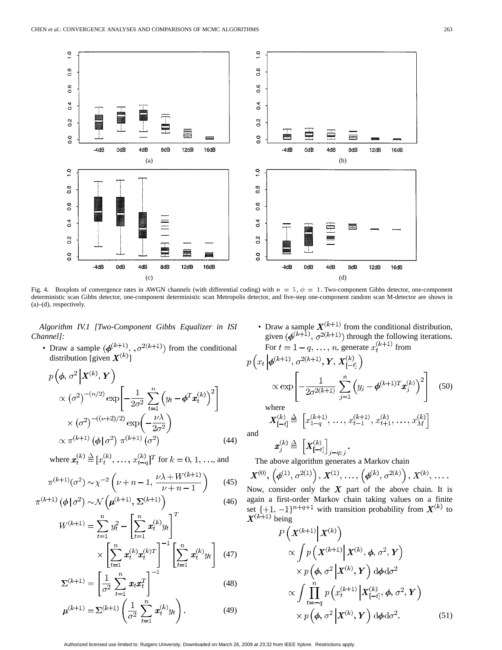

Fig. 4. Boxplots of convergence rates in AWGN channels (with differential coding) with  $n = 5$ ,  $\phi = 1$ . Two-component Gibbs detector, one-component deterministic scan Gibbs detector, one-component deterministic scan Metropolis detector, and five-step one-component random scan M-detector are shown in (a)–(d), respectively.

*Algorithm IV.1 [Two-Component Gibbs Equalizer in ISI Channel]:*

• Draw a sample  $(\boldsymbol{\phi}^{(k+1)}, \sigma^{2(k+1)})$  from the conditional distribution [given  $X^{(k)}$ ]

$$
p\left(\boldsymbol{\phi}, \sigma^2 \middle| \boldsymbol{X}^{(k)}, \boldsymbol{Y}\right) \propto \left(\sigma^2\right)^{-(n/2)} \exp\left[-\frac{1}{2\sigma^2} \sum_{t=1}^n \left(y_t - \boldsymbol{\phi}^T \boldsymbol{x}_t^{(k)}\right)^2\right] \times \left(\sigma^2\right)^{-(\nu+2)/2} \exp\left(-\frac{\nu\lambda}{2\sigma^2}\right) \propto \pi^{(k+1)}\left(\boldsymbol{\phi} \middle| \sigma^2\right) \pi^{(k+1)}\left(\sigma^2\right) \tag{44}
$$

where  $\mathbf{x}_t^{(k)} \stackrel{\Delta}{=} [x_t^{(k)}, \dots, x_{t-q}^{(k)}]^T$  for  $k = 0, 1, \dots$ , and

$$
\pi^{(k+1)}(\sigma^2) \sim \chi^{-2}\left(\nu + n - 1, \frac{\nu\lambda + W^{(k+1)}}{\nu + n - 1}\right) \tag{45}
$$
\n
$$
\pi^{(k+1)}\left(\phi \,|\, \sigma^2\right) \sim \mathcal{N}\left(\mu^{(k+1)}, \, \Sigma^{(k+1)}\right) \tag{46}
$$

$$
W^{(k+1)} = \sum_{t=1}^{n} y_t^2 - \left[ \sum_{t=1}^{n} x_t^{(k)} y_t \right]^T
$$

$$
\times \left[ \sum_{t=1}^{n} x_t^{(k)} x_t^{(k)T} \right]^{-1} \left[ \sum_{t=1}^{n} x_t^{(k)} y_t \right] (47)
$$

$$
\Sigma^{(k+1)} = \left[\frac{1}{\sigma^2} \sum_{i=1}^n x_i x_i^T\right]^{-1} \qquad (48)
$$

$$
\boldsymbol{\mu}^{(k+1)} = \Sigma^{(k+1)} \left( \frac{1}{\sigma^2} \sum_{t=1}^n x_t^{(k)} y_t \right). \tag{49}
$$

• Draw a sample  $X^{(k+1)}$  from the conditional distribution, given  $(\phi^{(k+1)}, \sigma^{2(k+1)})$  through the following iterations. For  $t = 1-q, \ldots, n$ , generate  $x_t^{(k+1)}$  from

$$
p\left(x_t \Big| \phi^{(k+1)}, \sigma^{2(k+1)}, Y, X_{[-t]}^{(k)}\right) \times \exp\left[-\frac{1}{2\sigma^{2(k+1)}} \sum_{j=1}^n \left(y_j - \phi^{(k+1)T} x_j^{(k)}\right)^2\right] \quad (50)
$$
\nwhere\n
$$
\mathbf{X}_{[-t]}^{(k)} \triangleq \left[x_{1-q}^{(k+1)}, \dots, x_{t-1}^{(k+1)}, x_{t+1}^{(k)}, \dots, x_M^{(k)}\right]
$$
\nand\n
$$
\mathbf{x}_j^{(k)} \triangleq \left[\mathbf{X}_{[-t]}^{(k)}\right]_{j-q:j}.
$$

The above algorithm generates a Markov chain

$$
X^{(0)}, \left(\boldsymbol{\phi}^{(1)}, \sigma^{2(1)}\right), X^{(1)}, \ldots, \left(\boldsymbol{\phi}^{(k)}, \sigma^{2(k)}\right), X^{(k)}, \ldots
$$

Now, consider only the  $X$  part of the above chain. It is again a first-order Markov chain taking values on a finite set  $\{+1, -1\}^{n+q+1}$  with transition probability from  $\mathbf{X}^{(k)}$  to being

$$
P\left(X^{(k+1)}\middle| X^{(k)}\right) \propto \int p\left(X^{(k+1)}\middle| X^{(k)}, \phi, \sigma^2, Y\right) \times p\left(\phi, \sigma^2\middle| X^{(k)}, Y\right) d\phi d\sigma^2 \propto \int \prod_{t=-q}^{n} p\left(x_t^{(k+1)}\middle| X_{[-t]}^{(k)}, \phi, \sigma^2, Y\right) \times p\left(\phi, \sigma^2\middle| X^{(k)}, Y\right) d\phi d\sigma^2. \tag{51}
$$

Authorized licensed use limited to: Rutgers University. Downloaded on March 26, 2009 at 23:32 from IEEE Xplore. Restrictions apply.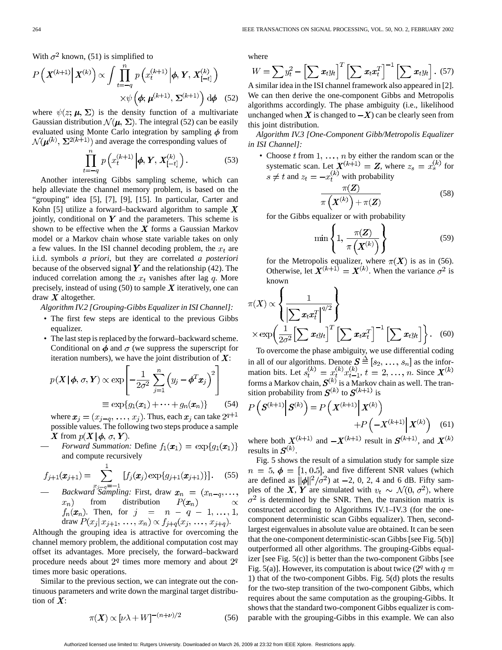With  $\sigma^2$  known, (51) is simplified to

$$
P\left(\boldsymbol{X}^{(k+1)}\middle|\boldsymbol{X}^{(k)}\right) \propto \int \prod_{t=-q}^{n} p\left(x_t^{(k+1)}\middle|\boldsymbol{\phi}, \boldsymbol{Y}, \boldsymbol{X}_{[-t]}^{(k)}\right) \times \psi\left(\boldsymbol{\phi}; \boldsymbol{\mu}^{(k+1)}, \boldsymbol{\Sigma}^{(k+1)}\right) d\boldsymbol{\phi} \quad (52)
$$

where  $\psi(z; \mu, \Sigma)$  is the density function of a multivariate Gaussian distribution  $\mathcal{N}(\mu, \Sigma)$ . The integral (52) can be easily evaluated using Monte Carlo integration by sampling  $\phi$  from  $\mathcal{N}(\boldsymbol{\mu}^{(k)}, \Sigma^{2(k+1)})$  and average the corresponding values of

$$
\prod_{t=-q}^{n} p\left(x_t^{(k+1)} \middle| \boldsymbol{\phi}, \boldsymbol{Y}, \boldsymbol{X}_{[-t]}^{(k)}\right).
$$
 (53)

Another interesting Gibbs sampling scheme, which can help alleviate the channel memory problem, is based on the "grouping" idea [5], [7], [9], [15]. In particular, Carter and Kohn [5] utilize a forward–backward algorithm to sample  $X$ jointly, conditional on  $Y$  and the parameters. This scheme is shown to be effective when the  $X$  forms a Gaussian Markov model or a Markov chain whose state variable takes on only a few values. In the ISI channel decoding problem, the  $x_t$  are i.i.d. symbols *a priori*, but they are correlated *a posteriori* because of the observed signal  $Y$  and the relationship (42). The induced correlation among the  $x_t$  vanishes after lag q. More precisely, instead of using  $(50)$  to sample X iteratively, one can draw  $X$  altogether.

*Algorithm IV.2 [Grouping-Gibbs Equalizer in ISI Channel]:*

- The first few steps are identical to the previous Gibbs equalizer.
- The last step is replaced by the forward–backward scheme. Conditional on  $\phi$  and  $\sigma$  (we suppress the superscript for iteration numbers), we have the joint distribution of  $X$ :

$$
p(X | \phi, \sigma, Y) \propto \exp \left[ -\frac{1}{2\sigma^2} \sum_{j=1}^n \left( y_j - \phi^T \mathbf{x}_j \right)^2 \right]
$$
  

$$
\equiv \exp \{ g_1(\mathbf{x}_1) + \dots + g_n(\mathbf{x}_n) \}
$$
 (54)

where  $\mathbf{x}_i = (x_{i-q}, \dots, x_i)$ . Thus, each  $\mathbf{x}_i$  can take  $2^{q+1}$ possible values. The following two steps produce a sample X from  $p(X | \phi, \sigma, Y)$ .

*Forward Summation:* Define  $f_1(x_1) = \exp\{g_1(x_1)\}\$ and compute recursively

$$
f_{j+1}(\boldsymbol{x}_{j+1}) = \sum_{x_j = q}^{1} [f_j(\boldsymbol{x}_j) \exp\{g_{j+1}(\boldsymbol{x}_{j+1})\}].
$$
 (55)

*Backward Sampling:* First, draw  $\mathbf{x}_n = (x_{n-q}, \dots,$ from distribution . Then, for  $j = n - q - 1, ..., 1$ , draw  $P(x_j | x_{j+1}, ..., x_n) \propto f_{j+q}(x_j, ..., x_{j+q}).$ 

Although the grouping idea is attractive for overcoming the channel memory problem, the additional computation cost may offset its advantages. More precisely, the forward–backward procedure needs about  $2<sup>q</sup>$  times more memory and about  $2<sup>q</sup>$ times more basic operations.

Similar to the previous section, we can integrate out the continuous parameters and write down the marginal target distribution of  $X$ :

$$
\pi(\mathbf{X}) \propto [\nu \lambda + W]^{-(n+\nu)/2} \tag{56}
$$

where

$$
W = \sum y_t^2 - \left[\sum x_t y_t\right]^T \left[\sum x_t x_t^T\right]^{-1} \left[\sum x_t y_t\right].
$$
 (57)

A similar idea in the ISI channel framework also appeared in [2]. We can then derive the one-component Gibbs and Metropolis algorithms accordingly. The phase ambiguity (i.e., likelihood unchanged when X is changed to  $-X$ ) can be clearly seen from this joint distribution.

*Algorithm IV.3 [One-Component Gibb/Metropolis Equalizer in ISI Channel]:*

• Choose  $t$  from  $1, \ldots, n$  by either the random scan or the systematic scan. Let  $X^{(k+1)} = Z$ , where  $z_s = x_s^{(k)}$  for  $s \neq t$  and  $z_t = -x_t^{(k)}$  with probability

$$
\frac{\pi(\mathbf{Z})}{\pi\left(\mathbf{X}^{(k)}\right) + \pi(\mathbf{Z})}
$$
\n(58)

for the Gibbs equalizer or with probability

$$
\min\left\{1, \frac{\pi(\mathbf{Z})}{\pi\left(\mathbf{X}^{(k)}\right)}\right\} \tag{59}
$$

for the Metropolis equalizer, where  $\pi(\mathbf{X})$  is as in (56). Otherwise, let  $\mathbf{X}^{(k+1)} = \mathbf{X}^{(k)}$ . When the variance  $\sigma^2$  is known

$$
\pi(X) \propto \left\{ \frac{1}{\left| \sum x_t x_t^T \right|^{q/2}} \right\}
$$
  
 
$$
\times \exp\left(\frac{1}{2\sigma^2} \left[ \sum x_t y_t \right]^T \left[ \sum x_t x_t^T \right]^{-1} \left[ \sum x_t y_t \right] \right\}. \quad (60)
$$

To overcome the phase ambiguity, we use differential coding in all of our algorithms. Denote  $S \stackrel{\triangle}{=} [s_2, \ldots, s_n]$  as the information bits. Let  $s_t^{(k)} = x_t^{(k)} x_{t-1}^{(k)}, t = 2, \ldots, n$ . Since forms a Markov chain,  $S^{(k)}$  is a Markov chain as well. The transition probability from  $S^{(k)}$  to  $S^{(k+1)}$  is

$$
P\left(\mathbf{S}^{(k+1)}\middle|\mathbf{S}^{(k)}\right) = P\left(\mathbf{X}^{(k+1)}\middle|\mathbf{X}^{(k)}\right) + P\left(-\mathbf{X}^{(k+1)}\middle|\mathbf{X}^{(k)}\right) \tag{61}
$$

where both  $X^{(k+1)}$  and  $-X^{(k+1)}$  result in  $S^{(k+1)}$ , and  $X^{(k)}$ results in  $S^{(k)}$ .

Fig. 5 shows the result of a simulation study for sample size  $n = 5$ ,  $\phi = [1, 0.5]$ , and five different SNR values (which are defined as  $||\phi||^2/\sigma^2$  at  $-2$ , 0, 2, 4 and 6 dB. Fifty samples of the X, Y are simulated with  $v_t \sim \mathcal{N}(0, \sigma^2)$ , where  $\sigma^2$  is determined by the SNR. Then, the transition matrix is constructed according to Algorithms IV.1–IV.3 (for the onecomponent deterministic scan Gibbs equalizer). Then, secondlargest eigenvalues in absolute value are obtained. It can be seen that the one-component deterministic-scan Gibbs [see Fig. 5(b)] outperformed all other algorithms. The grouping-Gibbs equalizer [see Fig. 5(c)] is better than the two-component Gibbs [see Fig. 5(a)]. However, its computation is about twice ( $2^q$  with  $q =$ ) that of the two-component Gibbs. Fig. 5(d) plots the results for the two-step transition of the two-component Gibbs, which requires about the same computation as the grouping-Gibbs. It shows that the standard two-component Gibbs equalizer is comparable with the grouping-Gibbs in this example. We can also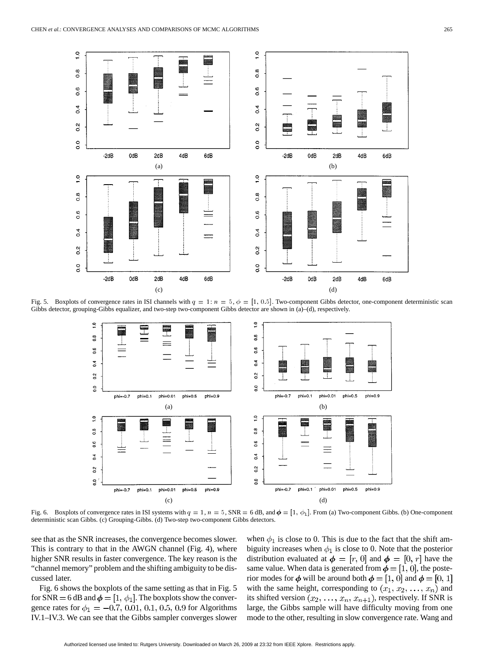

Fig. 5. Boxplots of convergence rates in ISI channels with  $q = 1$ :  $n = 5$ ,  $\phi = [1, 0.5]$ . Two-component Gibbs detector, one-component deterministic scan Gibbs detector, grouping-Gibbs equalizer, and two-step two-component Gibbs detector are shown in (a)–(d), respectively.



Fig. 6. Boxplots of convergence rates in ISI systems with  $q = 1$ ,  $n = 5$ , SNR = 6 dB, and  $\phi = [1, \phi_1]$ . From (a) Two-component Gibbs. (b) One-component deterministic scan Gibbs. (c) Grouping-Gibbs. (d) Two-step two-component Gibbs detectors.

see that as the SNR increases, the convergence becomes slower. This is contrary to that in the AWGN channel (Fig. 4), where higher SNR results in faster convergence. The key reason is the "channel memory" problem and the shifting ambiguity to be discussed later.

Fig. 6 shows the boxplots of the same setting as that in Fig. 5 for SNR = 6 dB and  $\phi = [1, \phi_1]$ . The boxplots show the convergence rates for  $\phi_1 = -0.7, 0.01, 0.1, 0.5, 0.9$  for Algorithms IV.1–IV.3. We can see that the Gibbs sampler converges slower when  $\phi_1$  is close to 0. This is due to the fact that the shift ambiguity increases when  $\phi_1$  is close to 0. Note that the posterior distribution evaluated at  $\phi = [r, 0]$  and  $\phi = [0, r]$  have the same value. When data is generated from  $\phi = [1, 0]$ , the posterior modes for  $\phi$  will be around both  $\phi = [1, 0]$  and  $\phi = [0, 1]$ with the same height, corresponding to  $(x_1, x_2, \ldots, x_n)$  and its shifted version  $(x_2, \ldots, x_n, x_{n+1})$ , respectively. If SNR is large, the Gibbs sample will have difficulty moving from one mode to the other, resulting in slow convergence rate. Wang and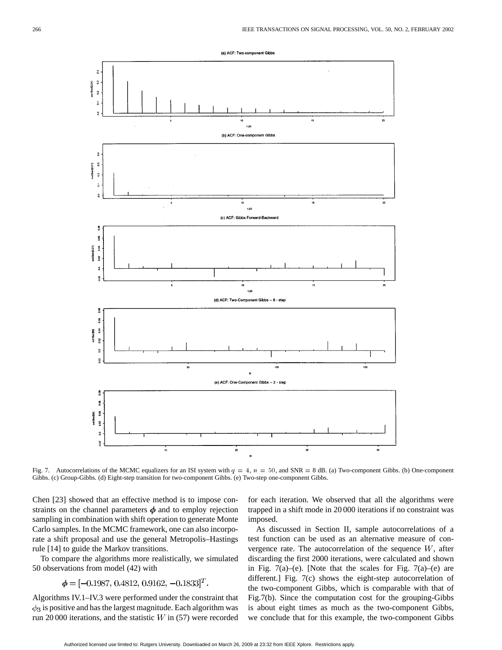

Fig. 7. Autocorrelations of the MCMC equalizers for an ISI system with  $q = 4$ ,  $n = 50$ , and SNR = 8 dB. (a) Two-component Gibbs. (b) One-component Gibbs. (c) Group-Gibbs. (d) Eight-step transition for two-component Gibbs. (e) Two-step one-component Gibbs.

Chen [23] showed that an effective method is to impose constraints on the channel parameters  $\phi$  and to employ rejection sampling in combination with shift operation to generate Monte Carlo samples. In the MCMC framework, one can also incorporate a shift proposal and use the general Metropolis–Hastings rule [14] to guide the Markov transitions.

To compare the algorithms more realistically, we simulated 50 observations from model (42) with

$$
\phi = [-0.1987, 0.4812, 0.9162, -0.1833]^{T}.
$$

Algorithms IV.1–IV.3 were performed under the constraint that  $\phi_3$  is positive and has the largest magnitude. Each algorithm was run 20 000 iterations, and the statistic  $W$  in (57) were recorded for each iteration. We observed that all the algorithms were trapped in a shift mode in 20 000 iterations if no constraint was imposed.

As discussed in Section II, sample autocorrelations of a test function can be used as an alternative measure of convergence rate. The autocorrelation of the sequence  $W$ , after discarding the first 2000 iterations, were calculated and shown in Fig. 7(a)–(e). [Note that the scales for Fig. 7(a)–(e) are different.] Fig. 7(c) shows the eight-step autocorrelation of the two-component Gibbs, which is comparable with that of Fig.7(b). Since the computation cost for the grouping-Gibbs is about eight times as much as the two-component Gibbs, we conclude that for this example, the two-component Gibbs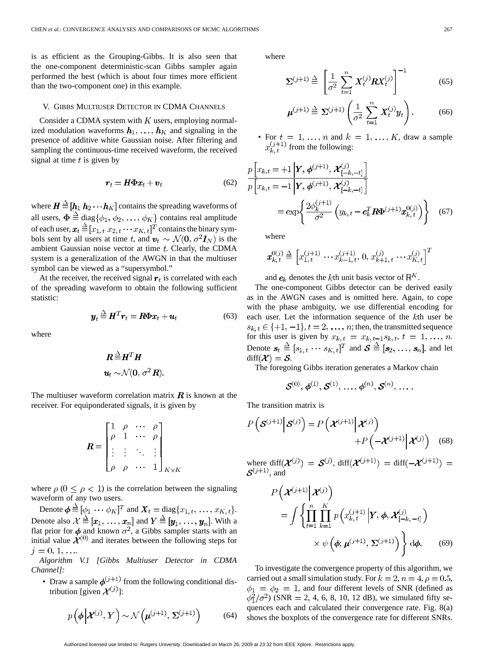is as efficient as the Grouping-Gibbs. It is also seen that the one-component deterministic-scan Gibbs sampler again performed the best (which is about four times more efficient than the two-component one) in this example.

# V. GIBBS MULTIUSER DETECTOR IN CDMA CHANNELS

Consider a CDMA system with  $K$  users, employing normalized modulation waveforms  $h_1, \ldots, h_K$  and signaling in the presence of additive white Gaussian noise. After filtering and sampling the continuous-time received waveform, the received signal at time  $t$  is given by

$$
r_t = H\Phi x_t + v_t \tag{62}
$$

where  $\mathbf{H} \triangleq [\mathbf{h}_1 \ \mathbf{h}_2 \cdots \mathbf{h}_K]$  contains the spreading waveforms of all users,  $\mathbf{\Phi} \stackrel{\Delta}{=} \text{diag}\{\phi_1, \phi_2, \ldots, \phi_K\}$  contains real amplitude of each user,  $x_t \stackrel{\Delta}{=} [x_{1,t} \ x_{2,t} \cdots x_{K,t}]^T$  contains the binary symbols sent by all users at time t, and  $v_t \sim \mathcal{N}(0, \sigma^2 \mathbf{I}_N)$  is the ambient Gaussian noise vector at time  $t$ . Clearly, the CDMA system is a generalization of the AWGN in that the multiuser symbol can be viewed as a "supersymbol."

At the receiver, the received signal  $r_t$  is correlated with each of the spreading waveform to obtain the following sufficient statistic:

$$
\boldsymbol{y}_t \stackrel{\Delta}{=} \boldsymbol{H}^T \boldsymbol{r}_t = \boldsymbol{R} \boldsymbol{\Phi} \boldsymbol{x}_t + \boldsymbol{u}_t \tag{63}
$$

where

$$
R \stackrel{\Delta}{=} H^T H
$$
  

$$
\mathbf{u}_t \sim \mathcal{N}(0, \sigma^2 R).
$$

The multiuser waveform correlation matrix  $\bm{R}$  is known at the receiver. For equiponderated signals, it is given by

$$
\mathbf{R} = \begin{bmatrix} 1 & \rho & \cdots & \rho \\ \rho & 1 & \cdots & \rho \\ \vdots & \vdots & \ddots & \vdots \\ \rho & \rho & \cdots & 1 \end{bmatrix}_{K \times K}
$$

where  $\rho$  ( $0 \leq \rho < 1$ ) is the correlation between the signaling waveform of any two users.

Denote  $\boldsymbol{\phi} \triangleq [\phi_1 \cdots \phi_K]^T$  and  $\boldsymbol{X}_t = \text{diag}\{x_1, t, \dots, x_{K, t}\}.$ Denote also  $\mathcal{X} \equiv [x_1, \ldots, x_n]$  and  $Y \equiv [y_1, \ldots, y_n]$ . With a flat prior for  $\phi$  and known  $\sigma^2$ , a Gibbs sampler starts with an initial value  $\mathcal{X}^{(0)}$  and iterates between the following steps for  $j = 0, 1, \ldots$ 

*Algorithm V.1 [Gibbs Multiuser Detector in CDMA Channel]:*

• Draw a sample  $\phi^{(j+1)}$  from the following conditional distribution [given  $\mathcal{X}^{(j)}$ ]:

$$
p\left(\phi\middle|\mathcal{X}^{(j)}, Y\right) \sim \mathcal{N}\left(\mu^{(j+1)}, \Sigma^{(j+1)}\right)
$$
 (64)

where

$$
\Sigma^{(j+1)} \stackrel{\triangle}{=} \left[\frac{1}{\sigma^2} \sum_{t=1}^n X_t^{(j)} \mathbf{R} X_t^{(j)}\right]^{-1} \tag{65}
$$

$$
\boldsymbol{\mu}^{(j+1)} \stackrel{\Delta}{=} \boldsymbol{\Sigma}^{(j+1)} \left( \frac{1}{\sigma^2} \sum_{t=1}^n \boldsymbol{X}_t^{(j)} \boldsymbol{y}_t \right). \tag{66}
$$

• For  $t = 1, \ldots, n$  and  $k = 1, \ldots, K$ , draw a sample  $x_k^{(j+1)}$  from the following:

$$
\frac{p\left[x_{k,t} = +1 \middle| Y, \phi^{(j+1)}, \mathcal{X}_{[-k,-t]}^{(j)}\right]}{p\left[x_{k,t} = -1 \middle| Y, \phi^{(j+1)}, \mathcal{X}_{[-k,-t]}^{(j)}\right]}
$$
\n
$$
= \exp\left\{\frac{2\phi_k^{(j+1)}}{\sigma^2} \left(y_{k,t} - \mathbf{e}_k^T \mathbf{R} \Phi^{(j+1)} \mathbf{x}_{k,t}^{0(j)}\right)\right\} \quad (67)
$$

where

$$
\mathbf{x}_{k,t}^{0(j)} \stackrel{\Delta}{=} \left[ x_{1,t}^{(j+1)} \cdots x_{k-1,t}^{(j+1)}, 0, x_{k+1,t}^{(j)} \cdots x_{K,t}^{(j)} \right]^T
$$

and  $e_k$  denotes the kth unit basis vector of  $\mathbb{R}^K$ .

The one-component Gibbs detector can be derived easily as in the AWGN cases and is omitted here. Again, to cope with the phase ambiguity, we use differential encoding for each user. Let the information sequence of the  $k$ <sup>th</sup> user be  $s_{k,t} \in \{+1, -1\}, t = 2, \ldots, n$ ; then, the transmitted sequence for this user is given by  $x_{k,t} = x_{k,t-1} s_{k,t}, t = 1, \ldots, n$ . Denote  $s_t \triangleq [s_{1,t} \cdots s_{K,t}]^T$  and  $S \triangleq [s_2, \ldots, s_n]$ , and let  $diff(X) = S.$ 

The foregoing Gibbs iteration generates a Markov chain

$$
\mathcal{S}^{(0)}, \pmb{\phi}^{(1)}, \mathcal{S}^{(1)}, \dots, \pmb{\phi}^{(n)}, \mathcal{S}^{(n)}, \dots.
$$

The transition matrix is

$$
P\left(\mathcal{S}^{(j+1)}\middle|\mathcal{S}^{(j)}\right) = P\left(\mathcal{X}^{(j+1)}\middle|\mathcal{X}^{(j)}\right) + P\left(-\mathcal{X}^{(j+1)}\middle|\mathcal{X}^{(j)}\right) \tag{68}
$$

where  $\text{diff}(\boldsymbol{\mathcal{X}}^{(j)}) = \boldsymbol{\mathcal{S}}^{(j)}$ ,  $\text{diff}(\boldsymbol{\mathcal{X}}^{(j+1)}) = \text{diff}(-\boldsymbol{\mathcal{X}}^{(j+1)}) =$  $S^{(j+1)}$  and

$$
P\left(\boldsymbol{\mathcal{X}}^{(j+1)}\middle|\boldsymbol{\mathcal{X}}^{(j)}\right)
$$
\n
$$
= \int \left\{\prod_{t=1}^{n} \prod_{k=1}^{K} p\left(x_{k,t}^{(j+1)}\middle| Y, \boldsymbol{\phi}, \boldsymbol{\mathcal{X}}_{[-k,-t]}^{(j)}\right) \right\}
$$
\n
$$
\times \psi\left(\boldsymbol{\phi}; \boldsymbol{\mu}^{(j+1)}, \boldsymbol{\Sigma}^{(j+1)}\right) \right\} d\boldsymbol{\phi}. \qquad (69)
$$

To investigate the convergence property of this algorithm, we carried out a small simulation study. For  $k = 2$ ,  $n = 4$ ,  $\rho = 0.5$ ,  $\phi_1 = \phi_2 = 1$ , and four different levels of SNR (defined as  $\phi_1^2/\sigma^2$ ) (SNR = 2, 4, 6, 8, 10, 12 dB), we simulated fifty sequences each and calculated their convergence rate. Fig. 8(a) shows the boxplots of the convergence rate for different SNRs.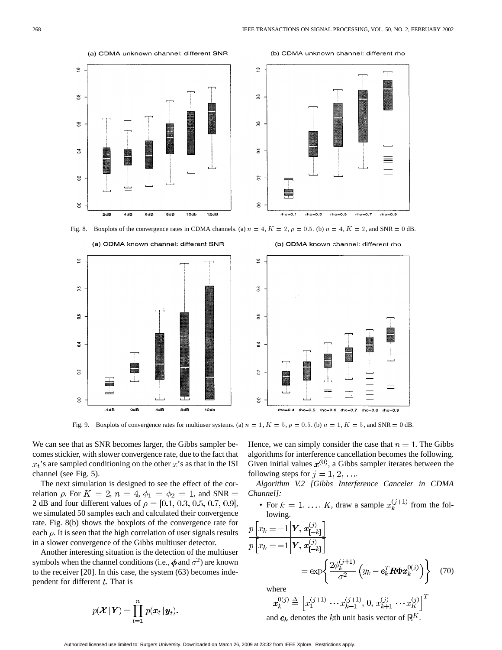(b) CDMA unknown channel: different rho





Fig. 8. Boxplots of the convergence rates in CDMA channels. (a)  $n = 4$ ,  $K = 2$ ,  $\rho = 0.5$ . (b)  $n = 4$ ,  $K = 2$ , and SNR = 0 dB.



Fig. 9. Boxplots of convergence rates for multiuser systems. (a)  $n = 1, K = 5, \rho = 0.5$ . (b)  $n = 1, K = 5$ , and SNR = 0 dB.

We can see that as SNR becomes larger, the Gibbs sampler becomes stickier, with slower convergence rate, due to the fact that  $x_t$ 's are sampled conditioning on the other x's as that in the ISI channel (see Fig. 5).

The next simulation is designed to see the effect of the correlation  $\rho$ . For  $K = 2$ ,  $n = 4$ ,  $\phi_1 = \phi_2 = 1$ , and SNR = 2 dB and four different values of  $\rho = [0.1, 0.3, 0.5, 0.7, 0.9]$ , we simulated 50 samples each and calculated their convergence rate. Fig. 8(b) shows the boxplots of the convergence rate for each  $\rho$ . It is seen that the high correlation of user signals results in a slower convergence of the Gibbs multiuser detector.

Another interesting situation is the detection of the multiuser symbols when the channel conditions (i.e.,  $\phi$  and  $\sigma^2$ ) are known to the receiver [20]. In this case, the system (63) becomes independent for different  $t$ . That is

$$
p(\mathcal{X} | \mathbf{Y}) = \prod_{t=1}^{n} p(\mathbf{x}_t | \mathbf{y}_t).
$$

Hence, we can simply consider the case that  $n = 1$ . The Gibbs algorithms for interference cancellation becomes the following. Given initial values  $x^{(0)}$ , a Gibbs sampler iterates between the following steps for  $j = 1, 2, ...$ 

*Algorithm V.2 [Gibbs Interference Canceler in CDMA Channel]:*

• For  $k = 1, ..., K$ , draw a sample  $x_k^{(j+1)}$  from the following.

$$
\frac{p\left[x_k = +1 \middle| Y, \mathbf{x}_{[-k]}^{(j)}\right]}{p\left[x_k = -1 \middle| Y, \mathbf{x}_{[-k]}^{(j)}\right]}
$$
\n
$$
= \exp\left\{\frac{2\phi_k^{(j+1)}}{\sigma^2} \left(y_k - \mathbf{e}_k^T \mathbf{R} \boldsymbol{\Phi} \mathbf{x}_k^{0(j)}\right)\right\} \tag{70}
$$
\nwhere

where

$$
\mathbf{x}_{k}^{0(j)} \stackrel{\Delta}{=} \left[ x_{1}^{(j+1)} \cdots x_{k-1}^{(j+1)}, 0, x_{k+1}^{(j)} \cdots x_{K}^{(j)} \right]^{T}
$$

and  $e_k$  denotes the kth unit basis vector of  $\mathbb{R}^K$ .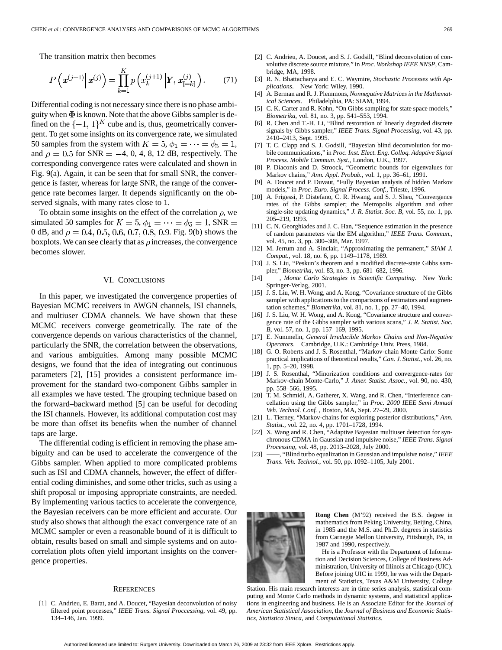The transition matrix then becomes

$$
P\left(\boldsymbol{x}^{(j+1)}\Big|\,\boldsymbol{x}^{(j)}\right) = \prod_{k=1}^{K} p\left(x_k^{(j+1)}\Big|\boldsymbol{Y},\boldsymbol{x}_{[-k]}^{(j)}\right). \tag{71}
$$

Differential coding is not necessary since there is no phase ambiguity when  $\Phi$  is known. Note that the above Gibbs sampler is defined on the  $\{-1, 1\}^K$  cube and is, thus, geometrically convergent. To get some insights on its convergence rate, we simulated 50 samples from the system with  $K = 5$ ,  $\phi_1 = \cdots = \phi_5 = 1$ , and  $\rho = 0.5$  for SNR = -4, 0, 4, 8, 12 dB, respectively. The corresponding convergence rates were calculated and shown in Fig. 9(a). Again, it can be seen that for small SNR, the convergence is faster, whereas for large SNR, the range of the convergence rate becomes larger. It depends significantly on the observed signals, with many rates close to 1.

To obtain some insights on the effect of the correlation  $\rho$ , we simulated 50 samples for  $K = 5$ ,  $\phi_1 = \cdots = \phi_5 = 1$ , SNR = 0 dB, and  $\rho = 0.4, 0.5, 0.6, 0.7, 0.8, 0.9$ . Fig. 9(b) shows the boxplots. We can see clearly that as  $\rho$  increases, the convergence becomes slower.

# VI. CONCLUSIONS

In this paper, we investigated the convergence properties of Bayesian MCMC receivers in AWGN channels, ISI channels, and multiuser CDMA channels. We have shown that these MCMC receivers converge geometrically. The rate of the convergence depends on various characteristics of the channel, particularly the SNR, the correlation between the observations, and various ambiguities. Among many possible MCMC designs, we found that the idea of integrating out continuous parameters [2], [15] provides a consistent performance improvement for the standard two-component Gibbs sampler in all examples we have tested. The grouping technique based on the forward–backward method [5] can be useful for decoding the ISI channels. However, its additional computation cost may be more than offset its benefits when the number of channel taps are large.

The differential coding is efficient in removing the phase ambiguity and can be used to accelerate the convergence of the Gibbs sampler. When applied to more complicated problems such as ISI and CDMA channels, however, the effect of differential coding diminishes, and some other tricks, such as using a shift proposal or imposing appropriate constraints, are needed. By implementing various tactics to accelerate the convergence, the Bayesian receivers can be more efficient and accurate. Our study also shows that although the exact convergence rate of an MCMC sampler or even a reasonable bound of it is difficult to obtain, results based on small and simple systems and on autocorrelation plots often yield important insights on the convergence properties.

#### **REFERENCES**

[1] C. Andrieu, E. Barat, and A. Doucet, "Bayesian deconvolution of noisy filtered point processes," *IEEE Trans. Signal Proccessing*, vol. 49, pp. 134–146, Jan. 1999.

- [2] C. Andrieu, A. Doucet, and S. J. Godsill, "Blind deconvolution of convolutive discrete source mixture," in *Proc. Workshop IEEE NNSP*, Cambridge, MA, 1998.
- [3] R. N. Bhattacharya and E. C. Waymire, *Stochastic Processes with Applications*. New York: Wiley, 1990.
- [4] A. Berman and R. J. Plemmons, *Nonnegative Matrices in the Mathematical Sciences*. Philadelphia, PA: SIAM, 1994.
- [5] C. K. Carter and R. Kohn, "On Gibbs sampling for state space models," *Biometrika*, vol. 81, no. 3, pp. 541–553, 1994.
- [6] R. Chen and T.-H. Li, "Blind restoration of linearly degraded discrete signals by Gibbs sampler," *IEEE Trans. Signal Processing*, vol. 43, pp. 2410–2413, Sept. 1995.
- [7] T. C. Clapp and S. J. Godsill, "Bayesian blind deconvolution for mobile communications," in *Proc. Inst. Elect. Eng. Colloq. Adaptive Signal Process. Mobile Commun. Syst.*, London, U.K., 1997.
- [8] P. Diaconis and D. Stroock, "Geometric bounds for eigenvalues for Markov chains," *Ann. Appl. Probab.*, vol. 1, pp. 36–61, 1991.
- [9] A. Doucet and P. Duvaut, "Fully Bayesian analysis of hidden Markov models," in *Proc. Euro. Signal Process. Conf.*, Trieste, 1996.
- [10] A. Frigessi, P. Distefano, C. R. Hwang, and S. J. Sheu, "Convergence rates of the Gibbs sampler; the Metropolis algorithm and other single-site updating dynamics," *J. R. Statist. Soc. B*, vol. 55, no. 1, pp. 205–219, 1993.
- [11] C. N. Georghiades and J. C. Han, "Sequence estimation in the presence of random parameters via the EM algorithm," *IEEE Trans. Commun.*, vol. 45, no. 3, pp. 300–308, Mar. 1997.
- [12] M. Jerrum and A. Sinclair, "Approximating the permanent," *SIAM J. Comput.*, vol. 18, no. 6, pp. 1149–1178, 1989.
- [13] J. S. Liu, "Peskun's theorem and a modified discrete-state Gibbs sampler," *Biometrika*, vol. 83, no. 3, pp. 681–682, 1996.
- [14] , *Monte Carlo Strategies in Scientific Computing*. New York: Springer-Verlag, 2001.
- [15] J. S. Liu, W. H. Wong, and A. Kong, "Covariance structure of the Gibbs sampler with applications to the comparisons of estimators and augmentation schemes," *Biometrika*, vol. 81, no. 1, pp. 27–40, 1994.
- [16] J. S. Liu, W. H. Wong, and A. Kong, "Covariance structure and convergence rate of the Gibbs sampler with various scans," *J. R. Statist. Soc. B*, vol. 57, no. 1, pp. 157–169, 1995.
- [17] E. Nummelin, *General Irreducible Markov Chains and Non-Negative Operators*. Cambridge, U.K.: Cambridge Univ. Press, 1984.
- [18] G. O. Roberts and J. S. Rosenthal, "Markov-chain Monte Carlo: Some practical implications of theoretical results," *Can. J. Statist.*, vol. 26, no. 1, pp. 5–20, 1998.
- [19] J. S. Rosenthal, "Minorization conditions and convergence-rates for Markov-chain Monte-Carlo," *J. Amer. Statist. Assoc.*, vol. 90, no. 430, pp. 558–566, 1995.
- [20] T. M. Schmidl, A. Gatherer, X. Wang, and R. Chen, "Interference cancellation using the Gibbs sampler," in *Proc. 2000 IEEE Semi Annual Veh. Technol. Conf.* , Boston, MA, Sept. 27–29, 2000.
- [21] L. Tierney, "Markov-chains for exploring posterior distributions," *Ann. Statist.*, vol. 22, no. 4, pp. 1701–1728, 1994.
- [22] X. Wang and R. Chen, "Adaptive Bayesian multiuser detection for synchronous CDMA in Gaussian and impulsive noise," *IEEE Trans. Signal Processing*, vol. 48, pp. 2013–2028, July 2000.
- [23] , "Blind turbo equalization in Gaussian and impulsive noise," *IEEE Trans. Veh. Technol.*, vol. 50, pp. 1092–1105, July 2001.



**Rong Chen** (M'92) received the B.S. degree in mathematics from Peking University, Beijing, China, in 1985 and the M.S. and Ph.D. degrees in statistics from Carnegie Mellon University, Pittsburgh, PA, in 1987 and 1990, respectively.

He is a Professor with the Department of Information and Decision Sciences, College of Business Administration, University of Illinois at Chicago (UIC). Before joining UIC in 1999, he was with the Department of Statistics, Texas A&M University, College

Station. His main research interests are in time series analysis, statistical computing and Monte Carlo methods in dynamic systems, and statistical applications in engineering and business. He is an Associate Editor for the *Journal of American Statistical Association*, the *Journal of Business and Economic Statistics*, *Statistica Sinica*, and *Computational Statistics*.